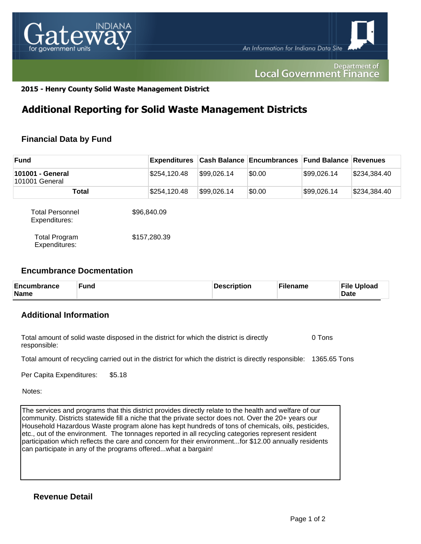

#### Department of **Local Government Finance**

### **2015 - Henry County Solid Waste Management District**

## **Additional Reporting for Solid Waste Management Districts**

## **Financial Data by Fund**

| <b>Fund</b>                             | <b>Expenditures</b> |             | <b>Cash Balance Encumbrances Fund Balance Revenues</b> |             |              |
|-----------------------------------------|---------------------|-------------|--------------------------------------------------------|-------------|--------------|
| 101001 - General<br>101001 General      | \$254,120.48        | \$99,026.14 | \$0.00                                                 | \$99,026.14 | \$234,384.40 |
| Total                                   | \$254,120.48        | \$99,026.14 | \$0.00                                                 | \$99,026.14 | \$234,384.40 |
| <b>Total Personnel</b><br>Expenditures: | \$96,840.09         |             |                                                        |             |              |
| <b>Total Program</b><br>Expenditures:   | \$157,280.39        |             |                                                        |             |              |

### **Encumbrance Docmentation**

| <b>Encumbrance</b><br><b>Name</b> | <b>Fund</b> | Description | ั <sup>с</sup> ilename | <b>File Upload</b><br><b>Date</b> |
|-----------------------------------|-------------|-------------|------------------------|-----------------------------------|
|-----------------------------------|-------------|-------------|------------------------|-----------------------------------|

## **Additional Information**

| Total amount of solid waste disposed in the district for which the district is directly | 0 Tons |
|-----------------------------------------------------------------------------------------|--------|
| responsible:                                                                            |        |

Total amount of recycling carried out in the district for which the district is directly responsible: 1365.65 Tons

Per Capita Expenditures: \$5.18

Notes:

The services and programs that this district provides directly relate to the health and welfare of our community. Districts statewide fill a niche that the private sector does not. Over the 20+ years our Household Hazardous Waste program alone has kept hundreds of tons of chemicals, oils, pesticides, etc., out of the environment. The tonnages reported in all recycling categories represent resident participation which reflects the care and concern for their environment...for \$12.00 annually residents can participate in any of the programs offered...what a bargain!

**Revenue Detail**